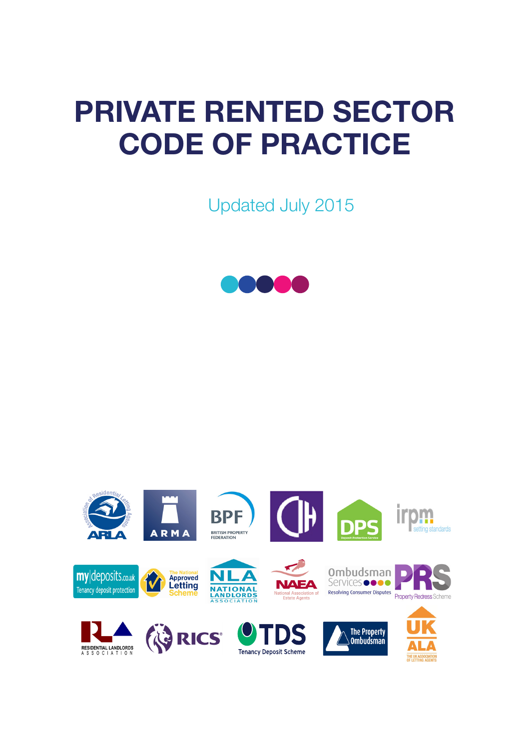# PRIVATE RENTED SECTOR CODE OF PRACTICE

Updated July 2015



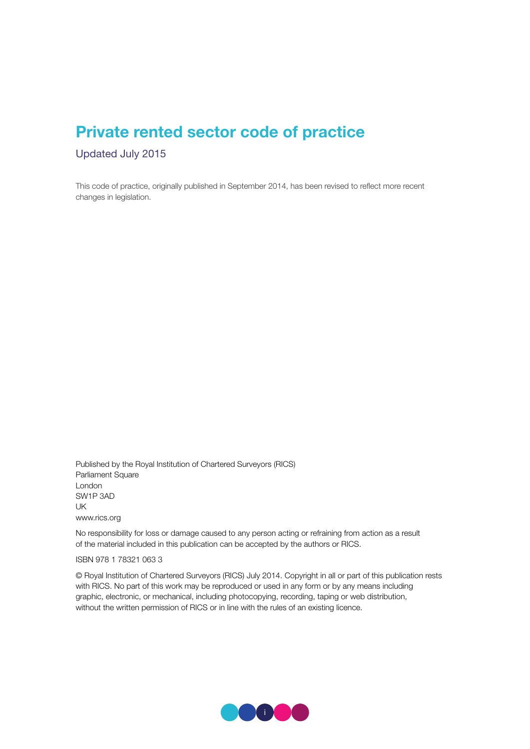## Private rented sector code of practice

Updated July 2015

This code of practice, originally published in September 2014, has been revised to reflect more recent changes in legislation.

Published by the Royal Institution of Chartered Surveyors (RICS) Parliament Square London SW1P 3AD UK www.rics.org

No responsibility for loss or damage caused to any person acting or refraining from action as a result of the material included in this publication can be accepted by the authors or RICS.

ISBN 978 1 78321 063 3

© Royal Institution of Chartered Surveyors (RICS) July 2014. Copyright in all or part of this publication rests with RICS. No part of this work may be reproduced or used in any form or by any means including graphic, electronic, or mechanical, including photocopying, recording, taping or web distribution, without the written permission of RICS or in line with the rules of an existing licence.

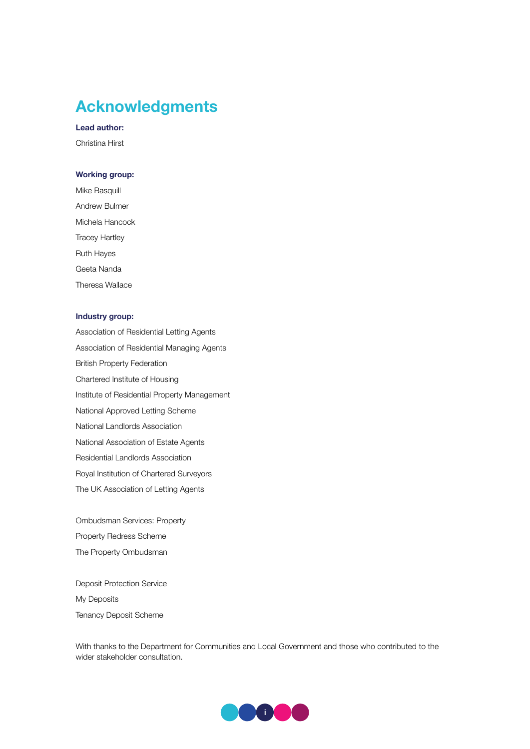## Acknowledgments

Lead author:

Christina Hirst

#### Working group:

Mike Basquill Andrew Bulmer Michela Hancock Tracey Hartley Ruth Hayes Geeta Nanda Theresa Wallace

#### Industry group:

Association of Residential Letting Agents Association of Residential Managing Agents British Property Federation Chartered Institute of Housing Institute of Residential Property Management National Approved Letting Scheme National Landlords Association National Association of Estate Agents Residential Landlords Association Royal Institution of Chartered Surveyors The UK Association of Letting Agents

Ombudsman Services: Property Property Redress Scheme The Property Ombudsman

Deposit Protection Service My Deposits Tenancy Deposit Scheme

With thanks to the Department for Communities and Local Government and those who contributed to the wider stakeholder consultation.

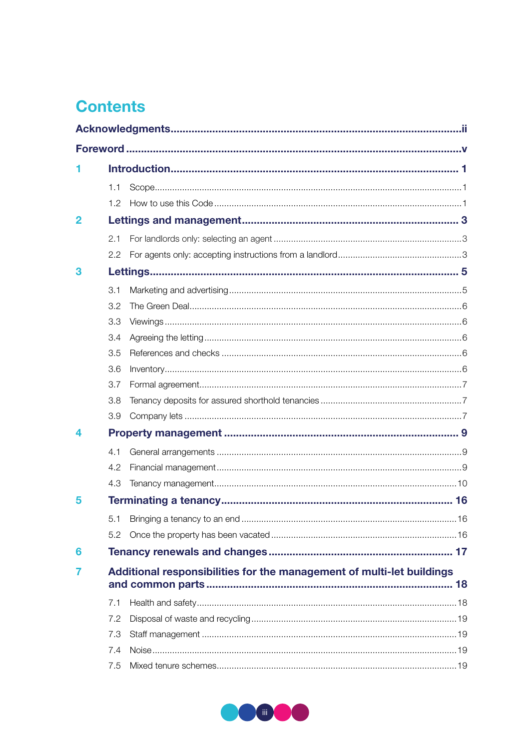## **Contents**

|                | 1.1              |                                                                       |  |  |  |
|----------------|------------------|-----------------------------------------------------------------------|--|--|--|
|                | 1.2 <sub>1</sub> |                                                                       |  |  |  |
| $\overline{2}$ |                  |                                                                       |  |  |  |
|                | 2.1              |                                                                       |  |  |  |
|                | $2.2^{\circ}$    |                                                                       |  |  |  |
| 3              |                  |                                                                       |  |  |  |
|                | 3.1              |                                                                       |  |  |  |
|                | 3.2              |                                                                       |  |  |  |
|                | 3.3              |                                                                       |  |  |  |
|                | 3.4              |                                                                       |  |  |  |
|                | 3.5              |                                                                       |  |  |  |
|                | 3.6              |                                                                       |  |  |  |
|                | 3.7              |                                                                       |  |  |  |
|                | 3.8              |                                                                       |  |  |  |
|                | 3.9              |                                                                       |  |  |  |
| 4              |                  |                                                                       |  |  |  |
|                | 4.1              |                                                                       |  |  |  |
|                | 4.2              |                                                                       |  |  |  |
|                | 4.3              |                                                                       |  |  |  |
| 5              |                  |                                                                       |  |  |  |
|                |                  |                                                                       |  |  |  |
|                | 5.2              |                                                                       |  |  |  |
| 6              |                  |                                                                       |  |  |  |
| 7              |                  | Additional responsibilities for the management of multi-let buildings |  |  |  |
|                |                  |                                                                       |  |  |  |
|                | 7.1              |                                                                       |  |  |  |
|                | 7.2              |                                                                       |  |  |  |
|                | 7.3              |                                                                       |  |  |  |
|                | 7.4              |                                                                       |  |  |  |
|                | 7.5              |                                                                       |  |  |  |

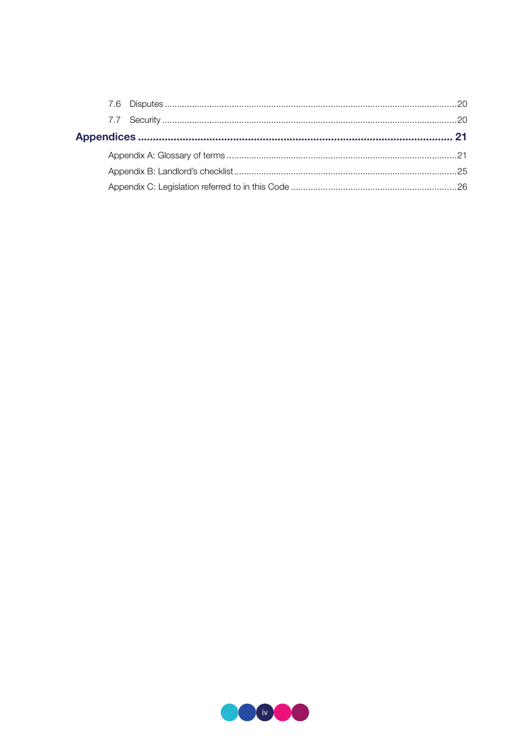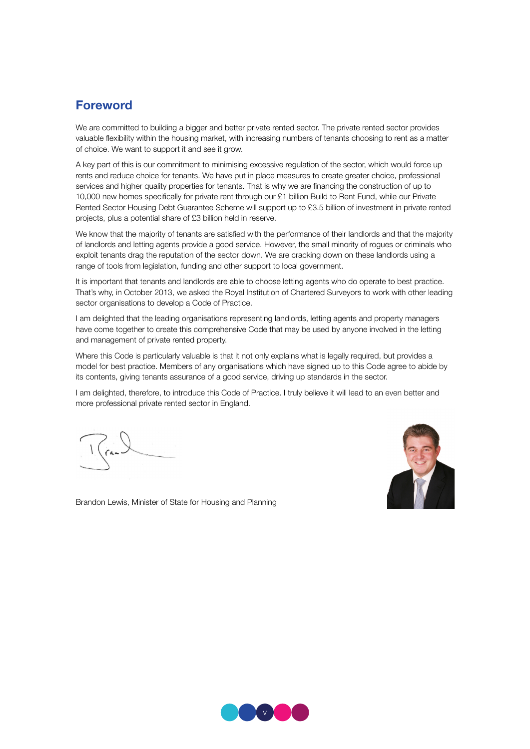## Foreword

We are committed to building a bigger and better private rented sector. The private rented sector provides valuable flexibility within the housing market, with increasing numbers of tenants choosing to rent as a matter of choice. We want to support it and see it grow.

A key part of this is our commitment to minimising excessive regulation of the sector, which would force up rents and reduce choice for tenants. We have put in place measures to create greater choice, professional services and higher quality properties for tenants. That is why we are financing the construction of up to 10,000 new homes specifically for private rent through our £1 billion Build to Rent Fund, while our Private Rented Sector Housing Debt Guarantee Scheme will support up to £3.5 billion of investment in private rented projects, plus a potential share of £3 billion held in reserve.

We know that the majority of tenants are satisfied with the performance of their landlords and that the majority of landlords and letting agents provide a good service. However, the small minority of rogues or criminals who exploit tenants drag the reputation of the sector down. We are cracking down on these landlords using a range of tools from legislation, funding and other support to local government.

It is important that tenants and landlords are able to choose letting agents who do operate to best practice. That's why, in October 2013, we asked the Royal Institution of Chartered Surveyors to work with other leading sector organisations to develop a Code of Practice.

I am delighted that the leading organisations representing landlords, letting agents and property managers have come together to create this comprehensive Code that may be used by anyone involved in the letting and management of private rented property.

Where this Code is particularly valuable is that it not only explains what is legally required, but provides a model for best practice. Members of any organisations which have signed up to this Code agree to abide by its contents, giving tenants assurance of a good service, driving up standards in the sector.

I am delighted, therefore, to introduce this Code of Practice. I truly believe it will lead to an even better and more professional private rented sector in England.



Brandon Lewis, Minister of State for Housing and Planning

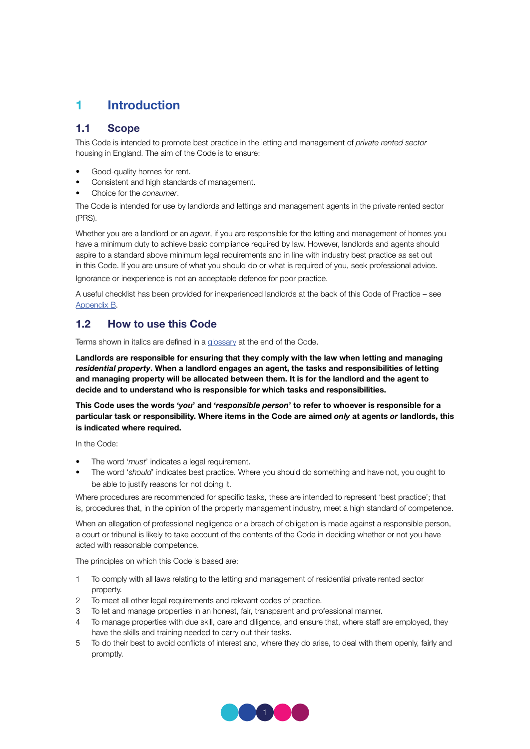## 1 Introduction

## 1.1 Scope

This Code is intended to promote best practice in the letting and management of *private rented sector* housing in England. The aim of the Code is to ensure:

- Good-quality homes for rent.
- Consistent and high standards of management.
- Choice for the *consumer*.

The Code is intended for use by landlords and lettings and management agents in the private rented sector (PRS).

Whether you are a landlord or an *agent*, if you are responsible for the letting and management of homes you have a minimum duty to achieve basic compliance required by law. However, landlords and agents should aspire to a standard above minimum legal requirements and in line with industry best practice as set out in this Code. If you are unsure of what you should do or what is required of you, seek professional advice. Ignorance or inexperience is not an acceptable defence for poor practice.

A useful checklist has been provided for inexperienced landlords at the back of this Code of Practice – see Appendix B.

## 1.2 How to use this Code

Terms shown in italics are defined in a glossary at the end of the Code.

Landlords are responsible for ensuring that they comply with the law when letting and managing *residential property*. When a landlord engages an agent, the tasks and responsibilities of letting and managing property will be allocated between them. It is for the landlord and the agent to decide and to understand who is responsible for which tasks and responsibilities.

This Code uses the words '*you*' and '*responsible person*' to refer to whoever is responsible for a particular task or responsibility. Where items in the Code are aimed *only* at agents *or* landlords, this is indicated where required.

In the Code:

- The word '*must*' indicates a legal requirement.
- The word '*should*' indicates best practice. Where you should do something and have not, you ought to be able to justify reasons for not doing it.

Where procedures are recommended for specific tasks, these are intended to represent 'best practice'; that is, procedures that, in the opinion of the property management industry, meet a high standard of competence.

When an allegation of professional negligence or a breach of obligation is made against a responsible person, a court or tribunal is likely to take account of the contents of the Code in deciding whether or not you have acted with reasonable competence.

The principles on which this Code is based are:

- 1 To comply with all laws relating to the letting and management of residential private rented sector property.
- 2 To meet all other legal requirements and relevant codes of practice.
- 3 To let and manage properties in an honest, fair, transparent and professional manner.
- 4 To manage properties with due skill, care and diligence, and ensure that, where staff are employed, they have the skills and training needed to carry out their tasks.
- 5 To do their best to avoid conflicts of interest and, where they do arise, to deal with them openly, fairly and promptly.

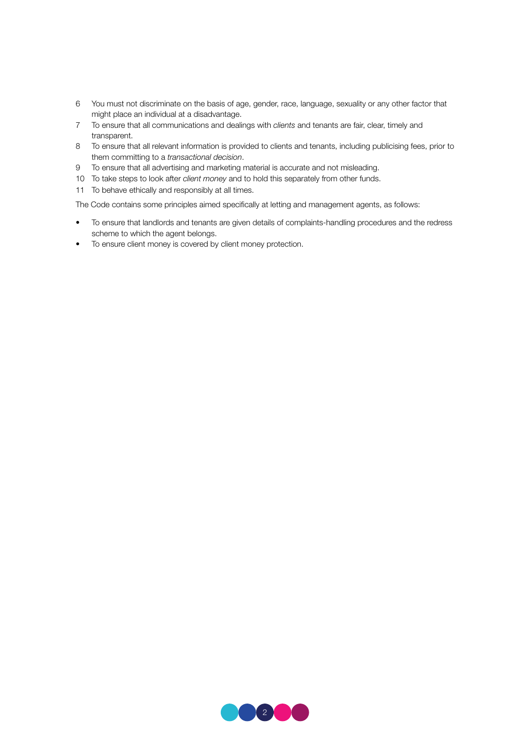- 6 You must not discriminate on the basis of age, gender, race, language, sexuality or any other factor that might place an individual at a disadvantage.
- 7 To ensure that all communications and dealings with *clients* and tenants are fair, clear, timely and transparent.
- 8 To ensure that all relevant information is provided to clients and tenants, including publicising fees, prior to them committing to a *transactional decision*.
- 9 To ensure that all advertising and marketing material is accurate and not misleading.
- 10 To take steps to look after *client money* and to hold this separately from other funds.
- 11 To behave ethically and responsibly at all times.

The Code contains some principles aimed specifically at letting and management agents, as follows:

- To ensure that landlords and tenants are given details of complaints-handling procedures and the redress scheme to which the agent belongs.
- To ensure client money is covered by client money protection.

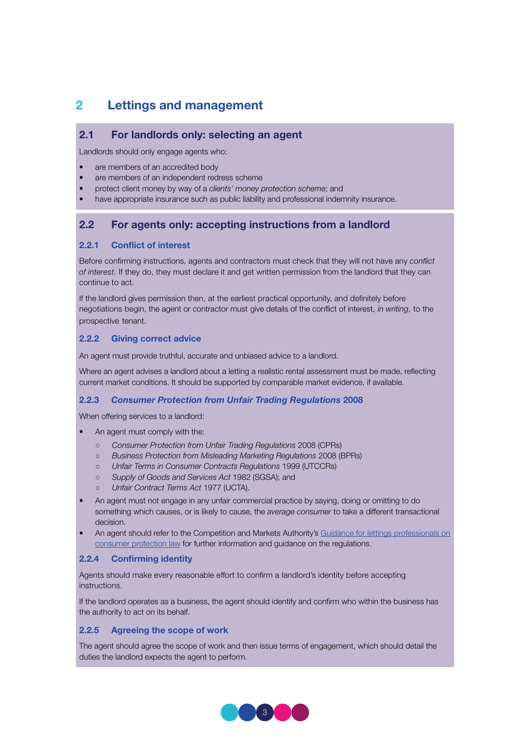## 2 Lettings and management

## 2.1 For landlords only: selecting an agent

Landlords should only engage agents who:

- are members of an accredited body
- are members of an independent redress scheme
- protect client money by way of a *clients' money protection scheme*; and
- have appropriate insurance such as public liability and professional indemnity insurance.

## 2.2 For agents only: accepting instructions from a landlord

#### 2.2.1 Conflict of interest

Before confirming instructions, agents and contractors must check that they will not have any *conflict of interest*. If they do, they must declare it and get written permission from the landlord that they can continue to act.

If the landlord gives permission then, at the earliest practical opportunity, and definitely before negotiations begin, the agent or contractor must give details of the conflict of interest, *in writing*, to the prospective tenant.

#### 2.2.2 Giving correct advice

An agent must provide truthful, accurate and unbiased advice to a landlord.

Where an agent advises a landlord about a letting a realistic rental assessment must be made, reflecting current market conditions. It should be supported by comparable market evidence, if available.

#### 2.2.3 *Consumer Protection from Unfair Trading Regulations* 2008

When offering services to a landlord:

- An agent must comply with the:
	- *Consumer Protection from Unfair Trading Regulations* 2008 (CPRs)
	- *Business Protection from Misleading Marketing Regulations* 2008 (BPRs)
	- *Unfair Terms in Consumer Contracts Regulations* 1999 (UTCCRs)
	- *Supply of Goods and Services Act* 1982 (SGSA); and
	- *Unfair Contract Terms Act* 1977 (UCTA).
- An agent must not engage in any unfair commercial practice by saying, doing or omitting to do something which causes, or is likely to cause, the *average consumer* to take a different transactional decision.
- An agent should refer to the Competition and Markets Authority's Guidance for lettings professionals on consumer protection law for further information and guidance on the regulations.

#### 2.2.4 Confirming identity

Agents should make every reasonable effort to confirm a landlord's identity before accepting instructions.

If the landlord operates as a business, the agent should identify and confirm who within the business has the authority to act on its behalf.

#### 2.2.5 Agreeing the scope of work

The agent should agree the scope of work and then issue terms of engagement, which should detail the duties the landlord expects the agent to perform.

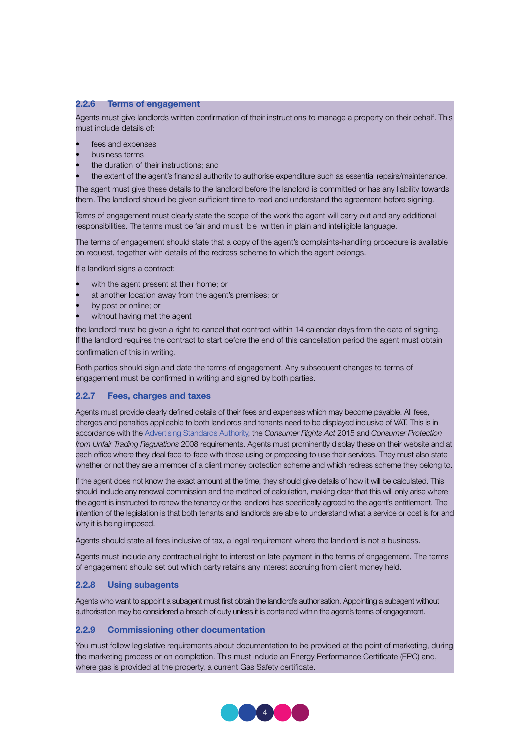#### 2.2.6 Terms of engagement

Agents must give landlords written confirmation of their instructions to manage a property on their behalf. This must include details of:

- fees and expenses
- business terms
- the duration of their instructions; and
- the extent of the agent's financial authority to authorise expenditure such as essential repairs/maintenance.

The agent must give these details to the landlord before the landlord is committed or has any liability towards them. The landlord should be given sufficient time to read and understand the agreement before signing.

Terms of engagement must clearly state the scope of the work the agent will carry out and any additional responsibilities. The terms must be fair and must be written in plain and intelligible language.

The terms of engagement should state that a copy of the agent's complaints-handling procedure is available on request, together with details of the redress scheme to which the agent belongs.

If a landlord signs a contract:

- with the agent present at their home; or
- at another location away from the agent's premises; or
- by post or online; or
- without having met the agent

the landlord must be given a right to cancel that contract within 14 calendar days from the date of signing. If the landlord requires the contract to start before the end of this cancellation period the agent must obtain confirmation of this in writing.

Both parties should sign and date the terms of engagement. Any subsequent changes to terms of engagement must be confirmed in writing and signed by both parties.

#### 2.2.7 Fees, charges and taxes

Agents must provide clearly defined details of their fees and expenses which may become payable. All fees, charges and penalties applicable to both landlords and tenants need to be displayed inclusive of VAT. This is in accordance with the Advertising Standards Authority, the *Consumer Rights Act* 2015 and *Consumer Protection from Unfair Trading Regulations* 2008 requirements. Agents must prominently display these on their website and at each office where they deal face-to-face with those using or proposing to use their services. They must also state whether or not they are a member of a client money protection scheme and which redress scheme they belong to.

If the agent does not know the exact amount at the time, they should give details of how it will be calculated. This should include any renewal commission and the method of calculation, making clear that this will only arise where the agent is instructed to renew the tenancy or the landlord has specifically agreed to the agent's entitlement. The intention of the legislation is that both tenants and landlords are able to understand what a service or cost is for and why it is being imposed.

Agents should state all fees inclusive of tax, a legal requirement where the landlord is not a business.

Agents must include any contractual right to interest on late payment in the terms of engagement. The terms of engagement should set out which party retains any interest accruing from client money held.

#### 2.2.8 Using subagents

Agents who want to appoint a subagent must first obtain the landlord's authorisation. Appointing a subagent without authorisation may be considered a breach of duty unless it is contained within the agent's terms of engagement.

#### 2.2.9 Commissioning other documentation

You must follow legislative requirements about documentation to be provided at the point of marketing, during the marketing process or on completion. This must include an Energy Performance Certificate (EPC) and, where gas is provided at the property, a current Gas Safety certificate.

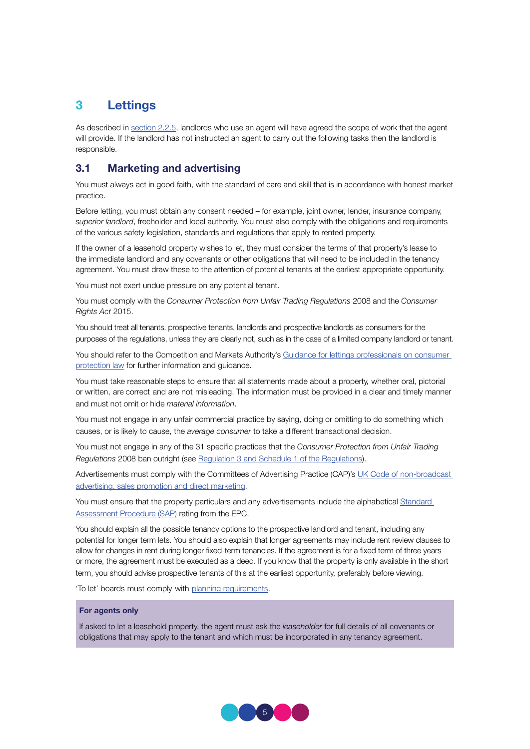## 3 Lettings

As described in section 2.2.5, landlords who use an agent will have agreed the scope of work that the agent will provide. If the landlord has not instructed an agent to carry out the following tasks then the landlord is responsible.

## 3.1 Marketing and advertising

You must always act in good faith, with the standard of care and skill that is in accordance with honest market practice.

Before letting, you must obtain any consent needed – for example, joint owner, lender, insurance company, *superior landlord*, freeholder and local authority. You must also comply with the obligations and requirements of the various safety legislation, standards and regulations that apply to rented property.

If the owner of a leasehold property wishes to let, they must consider the terms of that property's lease to the immediate landlord and any covenants or other obligations that will need to be included in the tenancy agreement. You must draw these to the attention of potential tenants at the earliest appropriate opportunity.

You must not exert undue pressure on any potential tenant.

You must comply with the *Consumer Protection from Unfair Trading Regulations* 2008 and the *Consumer Rights Act* 2015.

You should treat all tenants, prospective tenants, landlords and prospective landlords as consumers for the purposes of the regulations, unless they are clearly not, such as in the case of a limited company landlord or tenant.

You should refer to the Competition and Markets Authority's Guidance for lettings professionals on consumer protection law for further information and guidance.

You must take reasonable steps to ensure that all statements made about a property, whether oral, pictorial or written, are correct and are not misleading. The information must be provided in a clear and timely manner and must not omit or hide *material information*.

You must not engage in any unfair commercial practice by saying, doing or omitting to do something which causes, or is likely to cause, the *average consumer* to take a different transactional decision.

You must not engage in any of the 31 specific practices that the *Consumer Protection from Unfair Trading Regulations* 2008 ban outright (see Regulation 3 and Schedule 1 of the Regulations).

Advertisements must comply with the Committees of Advertising Practice (CAP)'s UK Code of non-broadcast advertising, sales promotion and direct marketing.

You must ensure that the property particulars and any advertisements include the alphabetical Standard Assessment Procedure (SAP) rating from the EPC.

You should explain all the possible tenancy options to the prospective landlord and tenant, including any potential for longer term lets. You should also explain that longer agreements may include rent review clauses to allow for changes in rent during longer fixed-term tenancies. If the agreement is for a fixed term of three years or more, the agreement must be executed as a deed. If you know that the property is only available in the short term, you should advise prospective tenants of this at the earliest opportunity, preferably before viewing.

'To let' boards must comply with planning requirements.

#### For agents only

If asked to let a leasehold property, the agent must ask the *leaseholder* for full details of all covenants or obligations that may apply to the tenant and which must be incorporated in any tenancy agreement.

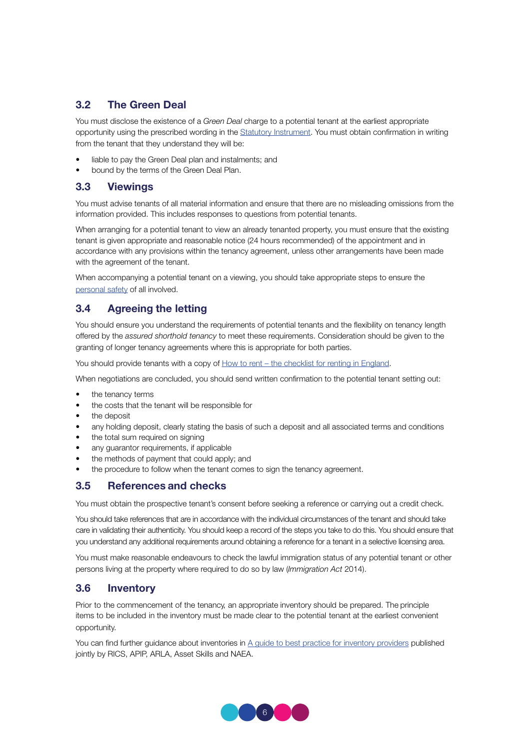## 3.2 The Green Deal

You must disclose the existence of a *Green Deal* charge to a potential tenant at the earliest appropriate opportunity using the prescribed wording in the Statutory Instrument. You must obtain confirmation in writing from the tenant that they understand they will be:

- liable to pay the Green Deal plan and instalments; and
- bound by the terms of the Green Deal Plan.

## 3.3 Viewings

You must advise tenants of all material information and ensure that there are no misleading omissions from the information provided. This includes responses to questions from potential tenants.

When arranging for a potential tenant to view an already tenanted property, you must ensure that the existing tenant is given appropriate and reasonable notice (24 hours recommended) of the appointment and in accordance with any provisions within the tenancy agreement, unless other arrangements have been made with the agreement of the tenant.

When accompanying a potential tenant on a viewing, you should take appropriate steps to ensure the personal safety of all involved.

## 3.4 Agreeing the letting

You should ensure you understand the requirements of potential tenants and the flexibility on tenancy length offered by the *assured shorthold tenancy* to meet these requirements. Consideration should be given to the granting of longer tenancy agreements where this is appropriate for both parties.

You should provide tenants with a copy of How to rent – the checklist for renting in England.

When negotiations are concluded, you should send written confirmation to the potential tenant setting out:

- the tenancy terms
- the costs that the tenant will be responsible for
- the deposit
- any holding deposit, clearly stating the basis of such a deposit and all associated terms and conditions
- the total sum required on signing
- any guarantor requirements, if applicable
- the methods of payment that could apply; and
- the procedure to follow when the tenant comes to sign the tenancy agreement.

## 3.5 References and checks

You must obtain the prospective tenant's consent before seeking a reference or carrying out a credit check.

You should take references that are in accordance with the individual circumstances of the tenant and should take care in validating their authenticity. You should keep a record of the steps you take to do this. You should ensure that you understand any additional requirements around obtaining a reference for a tenant in a selective licensing area.

You must make reasonable endeavours to check the lawful immigration status of any potential tenant or other persons living at the property where required to do so by law (*Immigration Act* 2014).

## 3.6 Inventory

Prior to the commencement of the tenancy, an appropriate inventory should be prepared. The principle items to be included in the inventory must be made clear to the potential tenant at the earliest convenient opportunity.

You can find further guidance about inventories in A guide to best practice for inventory providers published jointly by RICS, APIP, ARLA, Asset Skills and NAEA.

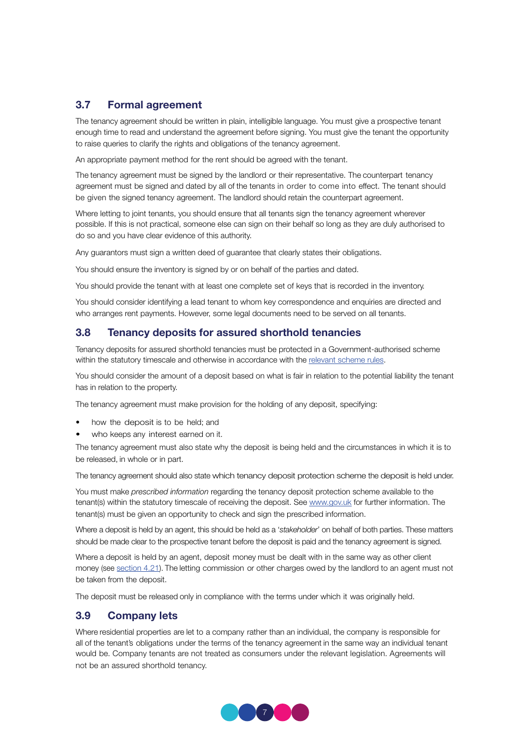## 3.7 Formal agreement

The tenancy agreement should be written in plain, intelligible language. You must give a prospective tenant enough time to read and understand the agreement before signing. You must give the tenant the opportunity to raise queries to clarify the rights and obligations of the tenancy agreement.

An appropriate payment method for the rent should be agreed with the tenant.

The tenancy agreement must be signed by the landlord or their representative. The counterpart tenancy agreement must be signed and dated by all of the tenants in order to come into effect. The tenant should be given the signed tenancy agreement. The landlord should retain the counterpart agreement.

Where letting to joint tenants, you should ensure that all tenants sign the tenancy agreement wherever possible. If this is not practical, someone else can sign on their behalf so long as they are duly authorised to do so and you have clear evidence of this authority.

Any guarantors must sign a written deed of guarantee that clearly states their obligations.

You should ensure the inventory is signed by or on behalf of the parties and dated.

You should provide the tenant with at least one complete set of keys that is recorded in the inventory.

You should consider identifying a lead tenant to whom key correspondence and enquiries are directed and who arranges rent payments. However, some legal documents need to be served on all tenants.

## 3.8 Tenancy deposits for assured shorthold tenancies

Tenancy deposits for assured shorthold tenancies must be protected in a Government-authorised scheme within the statutory timescale and otherwise in accordance with the relevant scheme rules.

You should consider the amount of a deposit based on what is fair in relation to the potential liability the tenant has in relation to the property.

The tenancy agreement must make provision for the holding of any deposit, specifying:

- how the deposit is to be held; and
- who keeps any interest earned on it.

The tenancy agreement must also state why the deposit is being held and the circumstances in which it is to be released, in whole or in part.

The tenancy agreement should also state which tenancy deposit protection scheme the deposit is held under.

You must make *prescribed information* regarding the tenancy deposit protection scheme available to the tenant(s) within the statutory timescale of receiving the deposit. See www.gov.uk for further information. The tenant(s) must be given an opportunity to check and sign the prescribed information.

Where a deposit is held by an agent, this should be held as a '*stakeholder*' on behalf of both parties. These matters should be made clear to the prospective tenant before the deposit is paid and the tenancy agreement is signed.

Where a deposit is held by an agent, deposit money must be dealt with in the same way as other client money (see section 4.21). The letting commission or other charges owed by the landlord to an agent must not be taken from the deposit.

The deposit must be released only in compliance with the terms under which it was originally held.

## 3.9 Company lets

Where residential properties are let to a company rather than an individual, the company is responsible for all of the tenant's obligations under the terms of the tenancy agreement in the same way an individual tenant would be. Company tenants are not treated as consumers under the relevant legislation. Agreements will not be an assured shorthold tenancy.

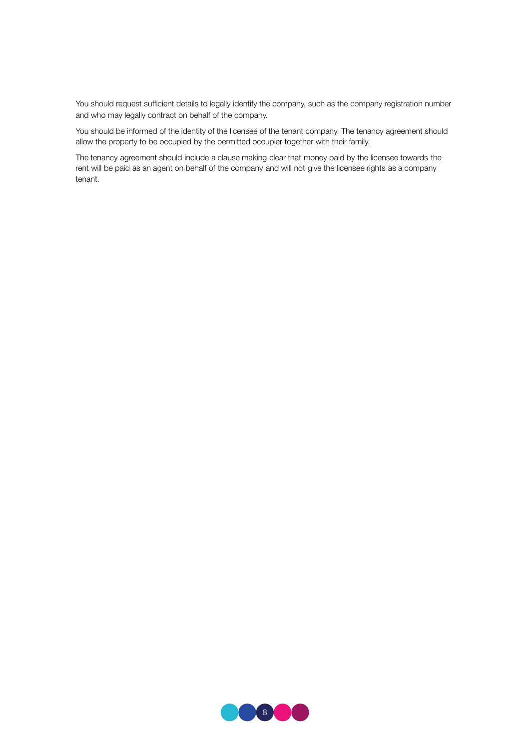You should request sufficient details to legally identify the company, such as the company registration number and who may legally contract on behalf of the company.

You should be informed of the identity of the licensee of the tenant company. The tenancy agreement should allow the property to be occupied by the permitted occupier together with their family.

The tenancy agreement should include a clause making clear that money paid by the licensee towards the rent will be paid as an agent on behalf of the company and will not give the licensee rights as a company tenant.

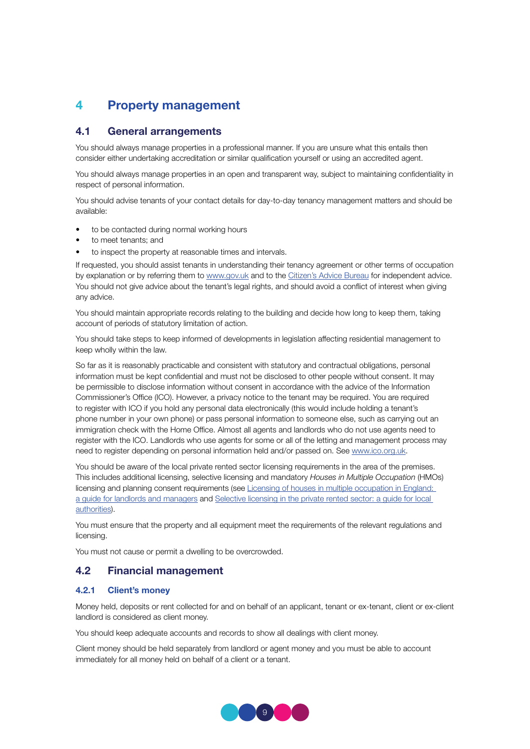## 4 Property management

## 4.1 General arrangements

You should always manage properties in a professional manner. If you are unsure what this entails then consider either undertaking accreditation or similar qualification yourself or using an accredited agent.

You should always manage properties in an open and transparent way, subject to maintaining confidentiality in respect of personal information.

You should advise tenants of your contact details for day-to-day tenancy management matters and should be available:

- to be contacted during normal working hours
- to meet tenants; and
- to inspect the property at reasonable times and intervals.

If requested, you should assist tenants in understanding their tenancy agreement or other terms of occupation by explanation or by referring them to www.gov.uk and to the Citizen's Advice Bureau for independent advice. You should not give advice about the tenant's legal rights, and should avoid a conflict of interest when giving any advice.

You should maintain appropriate records relating to the building and decide how long to keep them, taking account of periods of statutory limitation of action.

You should take steps to keep informed of developments in legislation affecting residential management to keep wholly within the law.

So far as it is reasonably practicable and consistent with statutory and contractual obligations, personal information must be kept confidential and must not be disclosed to other people without consent. It may be permissible to disclose information without consent in accordance with the advice of the Information Commissioner's Office (ICO). However, a privacy notice to the tenant may be required. You are required to register with ICO if you hold any personal data electronically (this would include holding a tenant's phone number in your own phone) or pass personal information to someone else, such as carrying out an immigration check with the Home Office. Almost all agents and landlords who do not use agents need to register with the ICO. Landlords who use agents for some or all of the letting and management process may need to register depending on personal information held and/or passed on. See www.ico.org.uk.

You should be aware of the local private rented sector licensing requirements in the area of the premises. This includes additional licensing, selective licensing and mandatory *Houses in Multiple Occupation* (HMOs) licensing and planning consent requirements (see Licensing of houses in multiple occupation in England: a guide for landlords and managers and Selective licensing in the private rented sector: a guide for local authorities).

You must ensure that the property and all equipment meet the requirements of the relevant regulations and licensing.

You must not cause or permit a dwelling to be overcrowded.

## 4.2 Financial management

#### 4.2.1 Client's money

Money held, deposits or rent collected for and on behalf of an applicant, tenant or ex-tenant, client or ex-client landlord is considered as client money.

You should keep adequate accounts and records to show all dealings with client money.

Client money should be held separately from landlord or agent money and you must be able to account immediately for all money held on behalf of a client or a tenant.

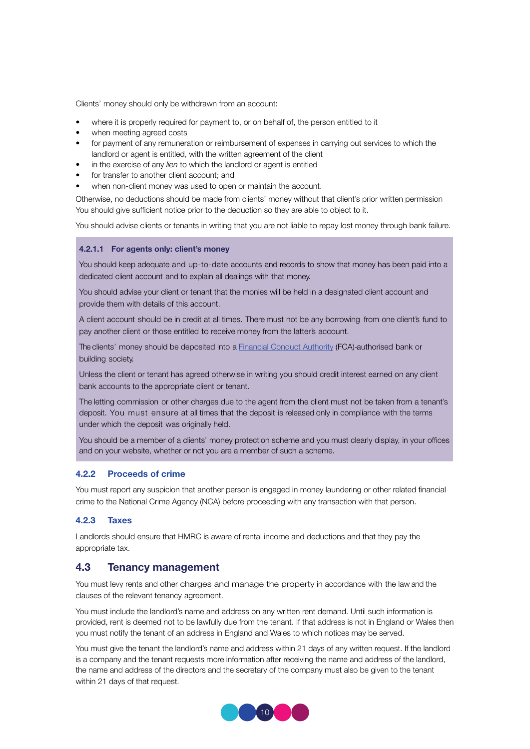Clients' money should only be withdrawn from an account:

- where it is properly required for payment to, or on behalf of, the person entitled to it
- when meeting agreed costs
- for payment of any remuneration or reimbursement of expenses in carrying out services to which the landlord or agent is entitled, with the written agreement of the client
- in the exercise of any *lien* to which the landlord or agent is entitled
- for transfer to another client account; and
- when non-client money was used to open or maintain the account.

Otherwise, no deductions should be made from clients' money without that client's prior written permission You should give sufficient notice prior to the deduction so they are able to object to it.

You should advise clients or tenants in writing that you are not liable to repay lost money through bank failure.

#### 4.2.1.1 For agents only: client's money

You should keep adequate and up-to-date accounts and records to show that money has been paid into a dedicated client account and to explain all dealings with that money.

You should advise your client or tenant that the monies will be held in a designated client account and provide them with details of this account.

A client account should be in credit at all times. There must not be any borrowing from one client's fund to pay another client or those entitled to receive money from the latter's account.

The clients' money should be deposited into a Financial Conduct Authority (FCA)-authorised bank or building society.

Unless the client or tenant has agreed otherwise in writing you should credit interest earned on any client bank accounts to the appropriate client or tenant.

The letting commission or other charges due to the agent from the client must not be taken from a tenant's deposit. You must ensure at all times that the deposit is released only in compliance with the terms under which the deposit was originally held.

You should be a member of a clients' money protection scheme and you must clearly display, in your offices and on your website, whether or not you are a member of such a scheme.

#### 4.2.2 Proceeds of crime

You must report any suspicion that another person is engaged in money laundering or other related financial crime to the National Crime Agency (NCA) before proceeding with any transaction with that person.

#### 4.2.3 Taxes

Landlords should ensure that HMRC is aware of rental income and deductions and that they pay the appropriate tax.

#### 4.3 Tenancy management

You must levy rents and other charges and manage the property in accordance with the law and the clauses of the relevant tenancy agreement.

You must include the landlord's name and address on any written rent demand. Until such information is provided, rent is deemed not to be lawfully due from the tenant. If that address is not in England or Wales then you must notify the tenant of an address in England and Wales to which notices may be served.

You must give the tenant the landlord's name and address within 21 days of any written request. If the landlord is a company and the tenant requests more information after receiving the name and address of the landlord, the name and address of the directors and the secretary of the company must also be given to the tenant within 21 days of that request.

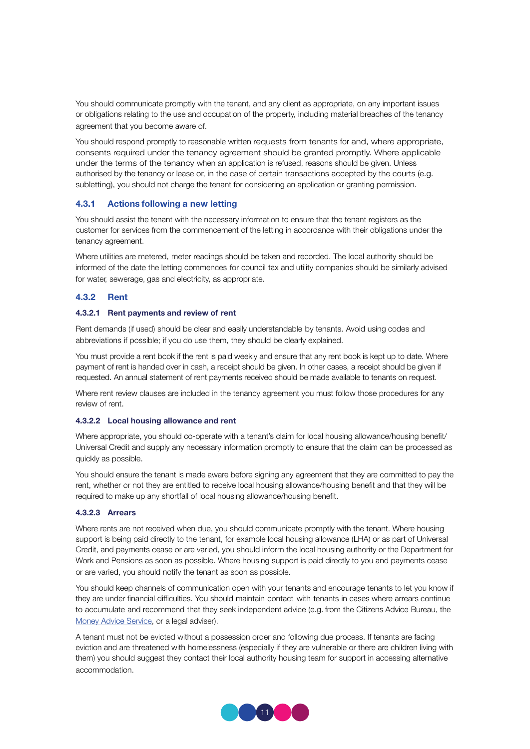You should communicate promptly with the tenant, and any client as appropriate, on any important issues or obligations relating to the use and occupation of the property, including material breaches of the tenancy agreement that you become aware of.

You should respond promptly to reasonable written requests from tenants for and, where appropriate, consents required under the tenancy agreement should be granted promptly. Where applicable under the terms of the tenancy when an application is refused, reasons should be given. Unless authorised by the tenancy or lease or, in the case of certain transactions accepted by the courts (e.g. subletting), you should not charge the tenant for considering an application or granting permission.

#### 4.3.1 Actions following a new letting

You should assist the tenant with the necessary information to ensure that the tenant registers as the customer for services from the commencement of the letting in accordance with their obligations under the tenancy agreement.

Where utilities are metered, meter readings should be taken and recorded. The local authority should be informed of the date the letting commences for council tax and utility companies should be similarly advised for water, sewerage, gas and electricity, as appropriate.

#### 4.3.2 Rent

#### 4.3.2.1 Rent payments and review of rent

Rent demands (if used) should be clear and easily understandable by tenants. Avoid using codes and abbreviations if possible; if you do use them, they should be clearly explained.

You must provide a rent book if the rent is paid weekly and ensure that any rent book is kept up to date. Where payment of rent is handed over in cash, a receipt should be given. In other cases, a receipt should be given if requested. An annual statement of rent payments received should be made available to tenants on request.

Where rent review clauses are included in the tenancy agreement you must follow those procedures for any review of rent.

#### 4.3.2.2 Local housing allowance and rent

Where appropriate, you should co-operate with a tenant's claim for local housing allowance/housing benefit/ Universal Credit and supply any necessary information promptly to ensure that the claim can be processed as quickly as possible.

You should ensure the tenant is made aware before signing any agreement that they are committed to pay the rent, whether or not they are entitled to receive local housing allowance/housing benefit and that they will be required to make up any shortfall of local housing allowance/housing benefit.

#### 4.3.2.3 Arrears

Where rents are not received when due, you should communicate promptly with the tenant. Where housing support is being paid directly to the tenant, for example local housing allowance (LHA) or as part of Universal Credit, and payments cease or are varied, you should inform the local housing authority or the Department for Work and Pensions as soon as possible. Where housing support is paid directly to you and payments cease or are varied, you should notify the tenant as soon as possible.

You should keep channels of communication open with your tenants and encourage tenants to let you know if they are under financial difficulties. You should maintain contact with tenants in cases where arrears continue to accumulate and recommend that they seek independent advice (e.g. from the Citizens Advice Bureau, the Money Advice Service, or a legal adviser).

A tenant must not be evicted without a possession order and following due process. If tenants are facing eviction and are threatened with homelessness (especially if they are vulnerable or there are children living with them) you should suggest they contact their local authority housing team for support in accessing alternative accommodation.

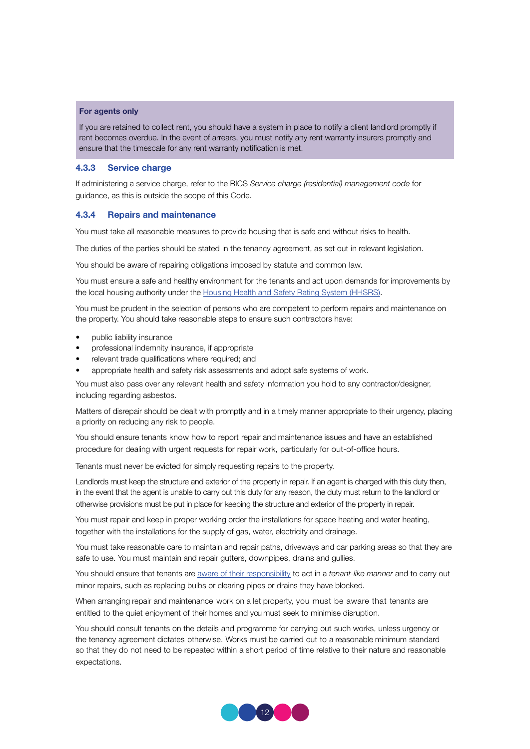#### For agents only

If you are retained to collect rent, you should have a system in place to notify a client landlord promptly if rent becomes overdue. In the event of arrears, you must notify any rent warranty insurers promptly and ensure that the timescale for any rent warranty notification is met.

#### 4.3.3 Service charge

If administering a service charge, refer to the RICS *Service charge (residential) management code* for guidance, as this is outside the scope of this Code.

#### 4.3.4 Repairs and maintenance

You must take all reasonable measures to provide housing that is safe and without risks to health.

The duties of the parties should be stated in the tenancy agreement, as set out in relevant legislation.

You should be aware of repairing obligations imposed by statute and common law.

You must ensure a safe and healthy environment for the tenants and act upon demands for improvements by the local housing authority under the Housing Health and Safety Rating System (HHSRS).

You must be prudent in the selection of persons who are competent to perform repairs and maintenance on the property. You should take reasonable steps to ensure such contractors have:

- public liability insurance
- professional indemnity insurance, if appropriate
- relevant trade qualifications where required; and
- appropriate health and safety risk assessments and adopt safe systems of work.

You must also pass over any relevant health and safety information you hold to any contractor/designer, including regarding asbestos.

Matters of disrepair should be dealt with promptly and in a timely manner appropriate to their urgency, placing a priority on reducing any risk to people.

You should ensure tenants know how to report repair and maintenance issues and have an established procedure for dealing with urgent requests for repair work, particularly for out-of-office hours.

Tenants must never be evicted for simply requesting repairs to the property.

Landlords must keep the structure and exterior of the property in repair. If an agent is charged with this duty then, in the event that the agent is unable to carry out this duty for any reason, the duty must return to the landlord or otherwise provisions must be put in place for keeping the structure and exterior of the property in repair.

You must repair and keep in proper working order the installations for space heating and water heating, together with the installations for the supply of gas, water, electricity and drainage.

You must take reasonable care to maintain and repair paths, driveways and car parking areas so that they are safe to use. You must maintain and repair gutters, downpipes, drains and gullies.

You should ensure that tenants are aware of their responsibility to act in a *tenant-like manner* and to carry out minor repairs, such as replacing bulbs or clearing pipes or drains they have blocked.

When arranging repair and maintenance work on a let property, you must be aware that tenants are entitled to the quiet enjoyment of their homes and you must seek to minimise disruption.

You should consult tenants on the details and programme for carrying out such works, unless urgency or the tenancy agreement dictates otherwise. Works must be carried out to a reasonable minimum standard so that they do not need to be repeated within a short period of time relative to their nature and reasonable expectations.

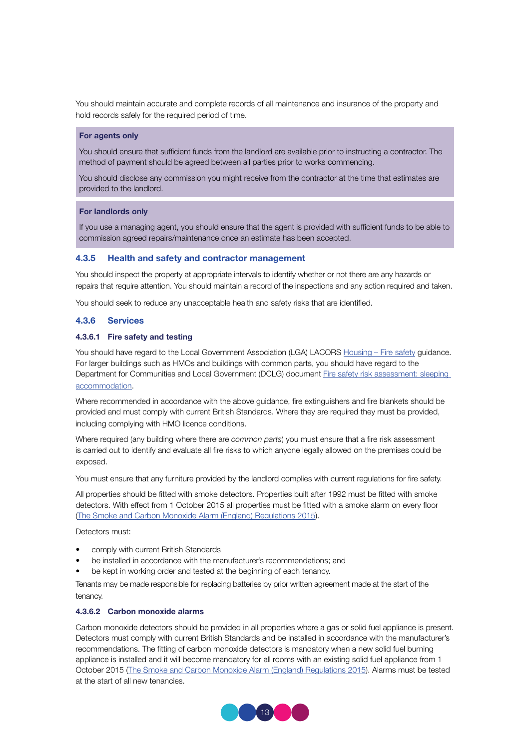You should maintain accurate and complete records of all maintenance and insurance of the property and hold records safely for the required period of time.

#### For agents only

You should ensure that sufficient funds from the landlord are available prior to instructing a contractor. The method of payment should be agreed between all parties prior to works commencing.

You should disclose any commission you might receive from the contractor at the time that estimates are provided to the landlord.

#### For landlords only

If you use a managing agent, you should ensure that the agent is provided with sufficient funds to be able to commission agreed repairs/maintenance once an estimate has been accepted.

#### 4.3.5 Health and safety and contractor management

You should inspect the property at appropriate intervals to identify whether or not there are any hazards or repairs that require attention. You should maintain a record of the inspections and any action required and taken.

You should seek to reduce any unacceptable health and safety risks that are identified.

#### 4.3.6 Services

#### 4.3.6.1 Fire safety and testing

You should have regard to the Local Government Association (LGA) LACORS Housing – Fire safety guidance. For larger buildings such as HMOs and buildings with common parts, you should have regard to the Department for Communities and Local Government (DCLG) document Fire safety risk assessment: sleeping accommodation.

Where recommended in accordance with the above guidance, fire extinguishers and fire blankets should be provided and must comply with current British Standards. Where they are required they must be provided, including complying with HMO licence conditions.

Where required (any building where there are *common parts*) you must ensure that a fire risk assessment is carried out to identify and evaluate all fire risks to which anyone legally allowed on the premises could be exposed.

You must ensure that any furniture provided by the landlord complies with current regulations for fire safety.

All properties should be fitted with smoke detectors. Properties built after 1992 must be fitted with smoke detectors. With effect from 1 October 2015 all properties must be fitted with a smoke alarm on every floor (The Smoke and Carbon Monoxide Alarm (England) Regulations 2015).

Detectors must:

- comply with current British Standards
- be installed in accordance with the manufacturer's recommendations; and
- be kept in working order and tested at the beginning of each tenancy.

Tenants may be made responsible for replacing batteries by prior written agreement made at the start of the tenancy.

#### 4.3.6.2 Carbon monoxide alarms

Carbon monoxide detectors should be provided in all properties where a gas or solid fuel appliance is present. Detectors must comply with current British Standards and be installed in accordance with the manufacturer's recommendations. The fitting of carbon monoxide detectors is mandatory when a new solid fuel burning appliance is installed and it will become mandatory for all rooms with an existing solid fuel appliance from 1 October 2015 (The Smoke and Carbon Monoxide Alarm (England) Regulations 2015). Alarms must be tested at the start of all new tenancies.

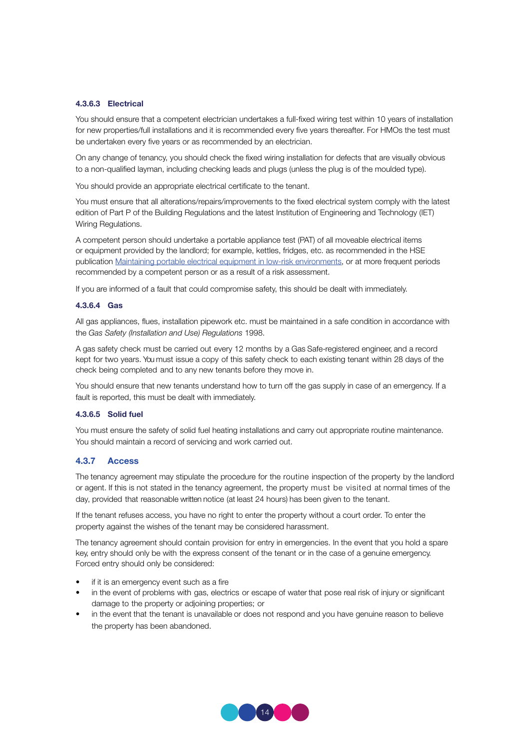#### 4.3.6.3 Electrical

You should ensure that a competent electrician undertakes a full-fixed wiring test within 10 years of installation for new properties/full installations and it is recommended every five years thereafter. For HMOs the test must be undertaken every five years or as recommended by an electrician.

On any change of tenancy, you should check the fixed wiring installation for defects that are visually obvious to a non-qualified layman, including checking leads and plugs (unless the plug is of the moulded type).

You should provide an appropriate electrical certificate to the tenant.

You must ensure that all alterations/repairs/improvements to the fixed electrical system comply with the latest edition of Part P of the Building Regulations and the latest Institution of Engineering and Technology (IET) Wiring Regulations.

A competent person should undertake a portable appliance test (PAT) of all moveable electrical items or equipment provided by the landlord; for example, kettles, fridges, etc. as recommended in the HSE publication Maintaining portable electrical equipment in low-risk environments, or at more frequent periods recommended by a competent person or as a result of a risk assessment.

If you are informed of a fault that could compromise safety, this should be dealt with immediately.

#### 4.3.6.4 Gas

All gas appliances, flues, installation pipework etc. must be maintained in a safe condition in accordance with the *Gas Safety (Installation and Use) Regulations* 1998.

A gas safety check must be carried out every 12 months by a Gas Safe-registered engineer, and a record kept for two years. You must issue a copy of this safety check to each existing tenant within 28 days of the check being completed and to any new tenants before they move in.

You should ensure that new tenants understand how to turn off the gas supply in case of an emergency. If a fault is reported, this must be dealt with immediately.

#### 4.3.6.5 Solid fuel

You must ensure the safety of solid fuel heating installations and carry out appropriate routine maintenance. You should maintain a record of servicing and work carried out.

#### 4.3.7 Access

The tenancy agreement may stipulate the procedure for the routine inspection of the property by the landlord or agent. If this is not stated in the tenancy agreement, the property must be visited at normal times of the day, provided that reasonable written notice (at least 24 hours) has been given to the tenant.

If the tenant refuses access, you have no right to enter the property without a court order. To enter the property against the wishes of the tenant may be considered harassment.

The tenancy agreement should contain provision for entry in emergencies. In the event that you hold a spare key, entry should only be with the express consent of the tenant or in the case of a genuine emergency. Forced entry should only be considered:

- if it is an emergency event such as a fire
- in the event of problems with gas, electrics or escape of water that pose real risk of injury or significant damage to the property or adjoining properties; or
- in the event that the tenant is unavailable or does not respond and you have genuine reason to believe the property has been abandoned.

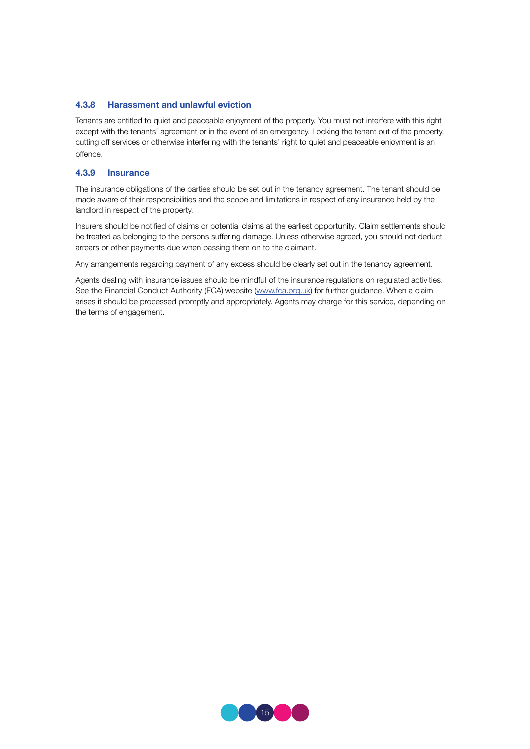#### 4.3.8 Harassment and unlawful eviction

Tenants are entitled to quiet and peaceable enjoyment of the property. You must not interfere with this right except with the tenants' agreement or in the event of an emergency. Locking the tenant out of the property, cutting off services or otherwise interfering with the tenants' right to quiet and peaceable enjoyment is an offence.

#### 4.3.9 Insurance

The insurance obligations of the parties should be set out in the tenancy agreement. The tenant should be made aware of their responsibilities and the scope and limitations in respect of any insurance held by the landlord in respect of the property.

Insurers should be notified of claims or potential claims at the earliest opportunity. Claim settlements should be treated as belonging to the persons suffering damage. Unless otherwise agreed, you should not deduct arrears or other payments due when passing them on to the claimant.

Any arrangements regarding payment of any excess should be clearly set out in the tenancy agreement.

Agents dealing with insurance issues should be mindful of the insurance regulations on regulated activities. See the Financial Conduct Authority (FCA) website (www.fca.org.uk) for further guidance. When a claim arises it should be processed promptly and appropriately. Agents may charge for this service, depending on the terms of engagement.

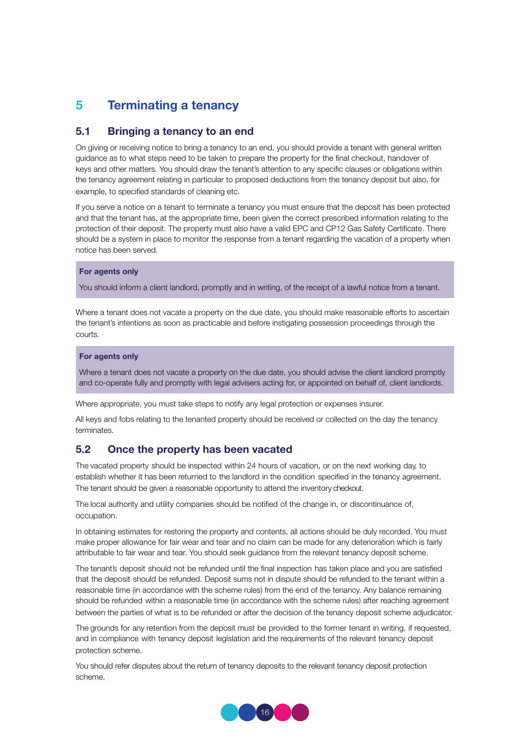## 5 Terminating a tenancy

## 5.1 Bringing a tenancy to an end

On giving or receiving notice to bring a tenancy to an end, you should provide a tenant with general written guidance as to what steps need to be taken to prepare the property for the final checkout, handover of keys and other matters. You should draw the tenant's attention to any specific clauses or obligations within the tenancy agreement relating in particular to proposed deductions from the tenancy deposit but also, for example, to specified standards of cleaning etc.

If you serve a notice on a tenant to terminate a tenancy you must ensure that the deposit has been protected and that the tenant has, at the appropriate time, been given the correct prescribed information relating to the protection of their deposit. The property must also have a valid EPC and CP12 Gas Safety Certificate. There should be a system in place to monitor the response from a tenant regarding the vacation of a property when notice has been served.

#### For agents only

You should inform a client landlord, promptly and in writing, of the receipt of a lawful notice from a tenant.

Where a tenant does not vacate a property on the due date, you should make reasonable efforts to ascertain the tenant's intentions as soon as practicable and before instigating possession proceedings through the courts.

#### For agents only

Where a tenant does not vacate a property on the due date, you should advise the client landlord promptly and co-operate fully and promptly with legal advisers acting for, or appointed on behalf of, client landlords.

Where appropriate, you must take steps to notify any legal protection or expenses insurer.

All keys and fobs relating to the tenanted property should be received or collected on the day the tenancy terminates.

## 5.2 Once the property has been vacated

The vacated property should be inspected within 24 hours of vacation, or on the next working day, to establish whether it has been returned to the landlord in the condition specified in the tenancy agreement. The tenant should be given a reasonable opportunity to attend the inventory checkout.

The local authority and utility companies should be notified of the change in, or discontinuance of, occupation.

In obtaining estimates for restoring the property and contents, all actions should be duly recorded. You must make proper allowance for fair wear and tear and no claim can be made for any deterioration which is fairly attributable to fair wear and tear. You should seek guidance from the relevant tenancy deposit scheme.

The tenant's deposit should not be refunded until the final inspection has taken place and you are satisfied that the deposit should be refunded. Deposit sums not in dispute should be refunded to the tenant within a reasonable time (in accordance with the scheme rules) from the end of the tenancy. Any balance remaining should be refunded within a reasonable time (in accordance with the scheme rules) after reaching agreement between the parties of what is to be refunded or after the decision of the tenancy deposit scheme adjudicator.

The grounds for any retention from the deposit must be provided to the former tenant in writing, if requested, and in compliance with tenancy deposit legislation and the requirements of the relevant tenancy deposit protection scheme.

You should refer disputes about the return of tenancy deposits to the relevant tenancy deposit protection scheme.

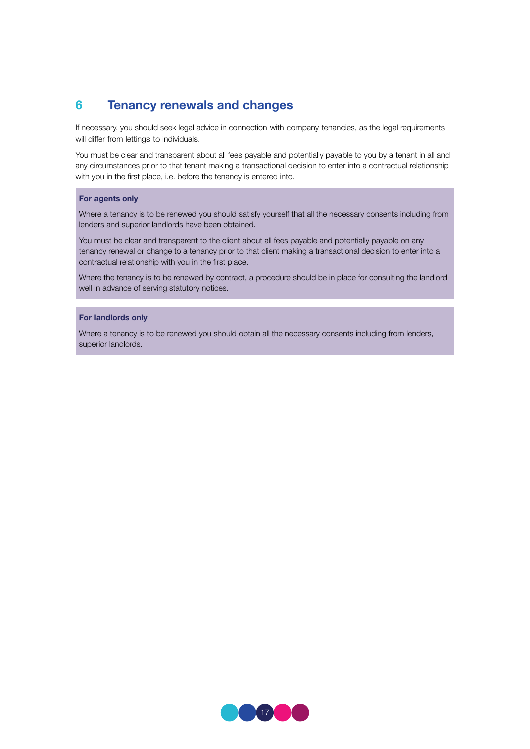## 6 Tenancy renewals and changes

If necessary, you should seek legal advice in connection with company tenancies, as the legal requirements will differ from lettings to individuals.

You must be clear and transparent about all fees payable and potentially payable to you by a tenant in all and any circumstances prior to that tenant making a transactional decision to enter into a contractual relationship with you in the first place, i.e. before the tenancy is entered into.

#### For agents only

Where a tenancy is to be renewed you should satisfy yourself that all the necessary consents including from lenders and superior landlords have been obtained.

You must be clear and transparent to the client about all fees payable and potentially payable on any tenancy renewal or change to a tenancy prior to that client making a transactional decision to enter into a contractual relationship with you in the first place.

Where the tenancy is to be renewed by contract, a procedure should be in place for consulting the landlord well in advance of serving statutory notices.

#### For landlords only

Where a tenancy is to be renewed you should obtain all the necessary consents including from lenders, superior landlords.

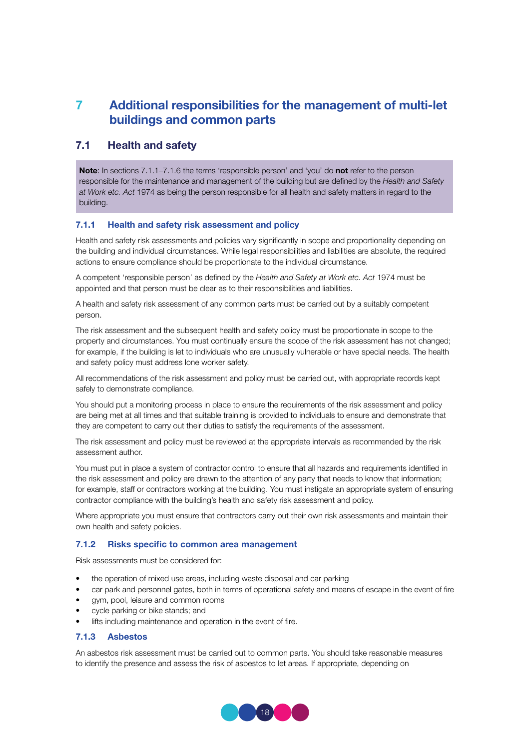## 7 Additional responsibilities for the management of multi-let buildings and common parts

## 7.1 Health and safety

Note: In sections 7.1.1-7.1.6 the terms 'responsible person' and 'you' do not refer to the person responsible for the maintenance and management of the building but are defined by the *Health and Safety at Work etc. Act* 1974 as being the person responsible for all health and safety matters in regard to the building.

#### 7.1.1 Health and safety risk assessment and policy

Health and safety risk assessments and policies vary significantly in scope and proportionality depending on the building and individual circumstances. While legal responsibilities and liabilities are absolute, the required actions to ensure compliance should be proportionate to the individual circumstance.

A competent 'responsible person' as defined by the *Health and Safety at Work etc. Act* 1974 must be appointed and that person must be clear as to their responsibilities and liabilities.

A health and safety risk assessment of any common parts must be carried out by a suitably competent person.

The risk assessment and the subsequent health and safety policy must be proportionate in scope to the property and circumstances. You must continually ensure the scope of the risk assessment has not changed; for example, if the building is let to individuals who are unusually vulnerable or have special needs. The health and safety policy must address lone worker safety.

All recommendations of the risk assessment and policy must be carried out, with appropriate records kept safely to demonstrate compliance.

You should put a monitoring process in place to ensure the requirements of the risk assessment and policy are being met at all times and that suitable training is provided to individuals to ensure and demonstrate that they are competent to carry out their duties to satisfy the requirements of the assessment.

The risk assessment and policy must be reviewed at the appropriate intervals as recommended by the risk assessment author.

You must put in place a system of contractor control to ensure that all hazards and requirements identified in the risk assessment and policy are drawn to the attention of any party that needs to know that information; for example, staff or contractors working at the building. You must instigate an appropriate system of ensuring contractor compliance with the building's health and safety risk assessment and policy.

Where appropriate you must ensure that contractors carry out their own risk assessments and maintain their own health and safety policies.

#### 7.1.2 Risks specific to common area management

Risk assessments must be considered for:

- the operation of mixed use areas, including waste disposal and car parking
- car park and personnel gates, both in terms of operational safety and means of escape in the event of fire
- gym, pool, leisure and common rooms
- cycle parking or bike stands; and
- lifts including maintenance and operation in the event of fire.

#### 7.1.3 Asbestos

An asbestos risk assessment must be carried out to common parts. You should take reasonable measures to identify the presence and assess the risk of asbestos to let areas. If appropriate, depending on

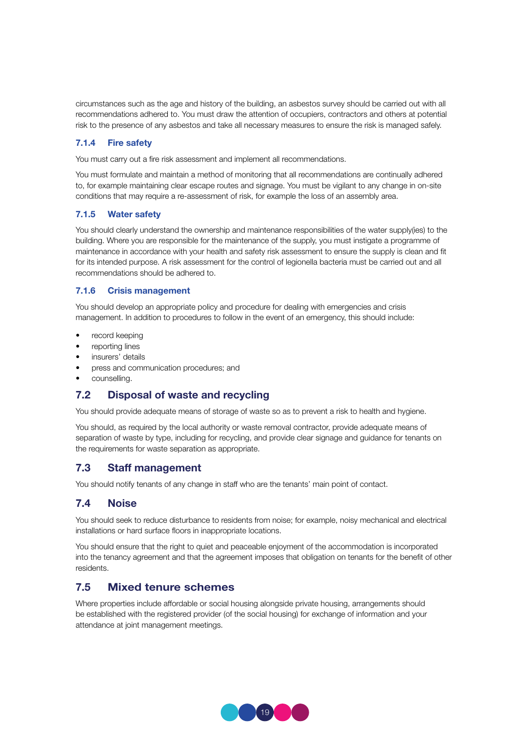circumstances such as the age and history of the building, an asbestos survey should be carried out with all recommendations adhered to. You must draw the attention of occupiers, contractors and others at potential risk to the presence of any asbestos and take all necessary measures to ensure the risk is managed safely.

#### 7.1.4 Fire safety

You must carry out a fire risk assessment and implement all recommendations.

You must formulate and maintain a method of monitoring that all recommendations are continually adhered to, for example maintaining clear escape routes and signage. You must be vigilant to any change in on-site conditions that may require a re-assessment of risk, for example the loss of an assembly area.

#### 7.1.5 Water safety

You should clearly understand the ownership and maintenance responsibilities of the water supply(ies) to the building. Where you are responsible for the maintenance of the supply, you must instigate a programme of maintenance in accordance with your health and safety risk assessment to ensure the supply is clean and fit for its intended purpose. A risk assessment for the control of legionella bacteria must be carried out and all recommendations should be adhered to.

#### 7.1.6 Crisis management

You should develop an appropriate policy and procedure for dealing with emergencies and crisis management. In addition to procedures to follow in the event of an emergency, this should include:

- record keeping
- reporting lines
- insurers' details
- press and communication procedures; and
- counselling.

## 7.2 Disposal of waste and recycling

You should provide adequate means of storage of waste so as to prevent a risk to health and hygiene.

You should, as required by the local authority or waste removal contractor, provide adequate means of separation of waste by type, including for recycling, and provide clear signage and guidance for tenants on the requirements for waste separation as appropriate.

## 7.3 Staff management

You should notify tenants of any change in staff who are the tenants' main point of contact.

## 7.4 Noise

You should seek to reduce disturbance to residents from noise; for example, noisy mechanical and electrical installations or hard surface floors in inappropriate locations.

You should ensure that the right to quiet and peaceable enjoyment of the accommodation is incorporated into the tenancy agreement and that the agreement imposes that obligation on tenants for the benefit of other residents.

## 7.5 Mixed tenure schemes

Where properties include affordable or social housing alongside private housing, arrangements should be established with the registered provider (of the social housing) for exchange of information and your attendance at joint management meetings.

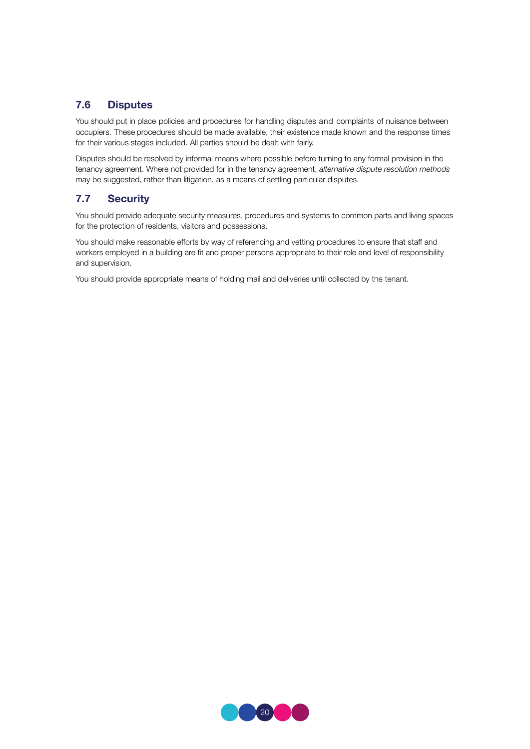## 7.6 Disputes

You should put in place policies and procedures for handling disputes and complaints of nuisance between occupiers. These procedures should be made available, their existence made known and the response times for their various stages included. All parties should be dealt with fairly.

Disputes should be resolved by informal means where possible before turning to any formal provision in the tenancy agreement. Where not provided for in the tenancy agreement, *alternative dispute resolution methods*  may be suggested, rather than litigation, as a means of settling particular disputes.

## 7.7 Security

You should provide adequate security measures, procedures and systems to common parts and living spaces for the protection of residents, visitors and possessions.

You should make reasonable efforts by way of referencing and vetting procedures to ensure that staff and workers employed in a building are fit and proper persons appropriate to their role and level of responsibility and supervision.

You should provide appropriate means of holding mail and deliveries until collected by the tenant.

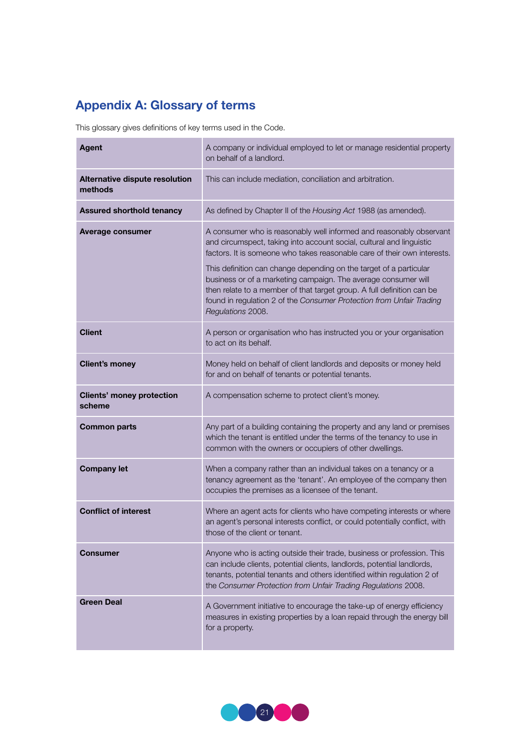## Appendix A: Glossary of terms

This glossary gives definitions of key terms used in the Code.

| <b>Agent</b>                               | A company or individual employed to let or manage residential property<br>on behalf of a landlord.                                                                                                                                                                                                          |  |
|--------------------------------------------|-------------------------------------------------------------------------------------------------------------------------------------------------------------------------------------------------------------------------------------------------------------------------------------------------------------|--|
| Alternative dispute resolution<br>methods  | This can include mediation, conciliation and arbitration.                                                                                                                                                                                                                                                   |  |
| <b>Assured shorthold tenancy</b>           | As defined by Chapter II of the Housing Act 1988 (as amended).                                                                                                                                                                                                                                              |  |
| Average consumer                           | A consumer who is reasonably well informed and reasonably observant<br>and circumspect, taking into account social, cultural and linguistic<br>factors. It is someone who takes reasonable care of their own interests.                                                                                     |  |
|                                            | This definition can change depending on the target of a particular<br>business or of a marketing campaign. The average consumer will<br>then relate to a member of that target group. A full definition can be<br>found in regulation 2 of the Consumer Protection from Unfair Trading<br>Regulations 2008. |  |
| <b>Client</b>                              | A person or organisation who has instructed you or your organisation<br>to act on its behalf.                                                                                                                                                                                                               |  |
| <b>Client's money</b>                      | Money held on behalf of client landlords and deposits or money held<br>for and on behalf of tenants or potential tenants.                                                                                                                                                                                   |  |
| <b>Clients' money protection</b><br>scheme | A compensation scheme to protect client's money.                                                                                                                                                                                                                                                            |  |
| <b>Common parts</b>                        | Any part of a building containing the property and any land or premises<br>which the tenant is entitled under the terms of the tenancy to use in<br>common with the owners or occupiers of other dwellings.                                                                                                 |  |
| <b>Company let</b>                         | When a company rather than an individual takes on a tenancy or a<br>tenancy agreement as the 'tenant'. An employee of the company then<br>occupies the premises as a licensee of the tenant.                                                                                                                |  |
| <b>Conflict of interest</b>                | Where an agent acts for clients who have competing interests or where<br>an agent's personal interests conflict, or could potentially conflict, with<br>those of the client or tenant.                                                                                                                      |  |
| Consumer                                   | Anyone who is acting outside their trade, business or profession. This<br>can include clients, potential clients, landlords, potential landlords,<br>tenants, potential tenants and others identified within regulation 2 of<br>the Consumer Protection from Unfair Trading Regulations 2008.               |  |
| <b>Green Deal</b>                          | A Government initiative to encourage the take-up of energy efficiency<br>measures in existing properties by a loan repaid through the energy bill<br>for a property.                                                                                                                                        |  |

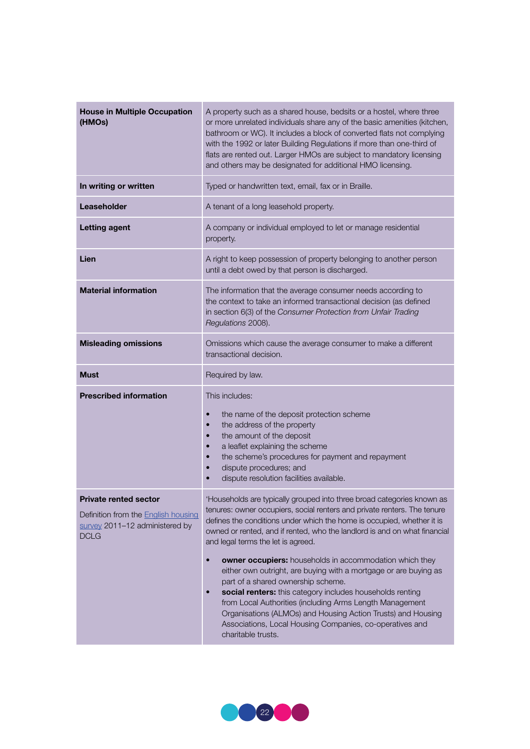| <b>House in Multiple Occupation</b><br>(HMOs)                                                                               | A property such as a shared house, bedsits or a hostel, where three<br>or more unrelated individuals share any of the basic amenities (kitchen,<br>bathroom or WC). It includes a block of converted flats not complying<br>with the 1992 or later Building Regulations if more than one-third of<br>flats are rented out. Larger HMOs are subject to mandatory licensing<br>and others may be designated for additional HMO licensing.                                                                                                                                                                                                                                                                                                                                                                                   |
|-----------------------------------------------------------------------------------------------------------------------------|---------------------------------------------------------------------------------------------------------------------------------------------------------------------------------------------------------------------------------------------------------------------------------------------------------------------------------------------------------------------------------------------------------------------------------------------------------------------------------------------------------------------------------------------------------------------------------------------------------------------------------------------------------------------------------------------------------------------------------------------------------------------------------------------------------------------------|
| In writing or written                                                                                                       | Typed or handwritten text, email, fax or in Braille.                                                                                                                                                                                                                                                                                                                                                                                                                                                                                                                                                                                                                                                                                                                                                                      |
| Leaseholder                                                                                                                 | A tenant of a long leasehold property.                                                                                                                                                                                                                                                                                                                                                                                                                                                                                                                                                                                                                                                                                                                                                                                    |
| <b>Letting agent</b>                                                                                                        | A company or individual employed to let or manage residential<br>property.                                                                                                                                                                                                                                                                                                                                                                                                                                                                                                                                                                                                                                                                                                                                                |
| Lien                                                                                                                        | A right to keep possession of property belonging to another person<br>until a debt owed by that person is discharged.                                                                                                                                                                                                                                                                                                                                                                                                                                                                                                                                                                                                                                                                                                     |
| <b>Material information</b>                                                                                                 | The information that the average consumer needs according to<br>the context to take an informed transactional decision (as defined<br>in section 6(3) of the Consumer Protection from Unfair Trading<br>Regulations 2008).                                                                                                                                                                                                                                                                                                                                                                                                                                                                                                                                                                                                |
| <b>Misleading omissions</b>                                                                                                 | Omissions which cause the average consumer to make a different<br>transactional decision.                                                                                                                                                                                                                                                                                                                                                                                                                                                                                                                                                                                                                                                                                                                                 |
| <b>Must</b>                                                                                                                 | Required by law.                                                                                                                                                                                                                                                                                                                                                                                                                                                                                                                                                                                                                                                                                                                                                                                                          |
| <b>Prescribed information</b>                                                                                               | This includes:<br>the name of the deposit protection scheme<br>$\bullet$<br>the address of the property<br>$\bullet$<br>the amount of the deposit<br>$\bullet$<br>a leaflet explaining the scheme<br>$\bullet$<br>the scheme's procedures for payment and repayment<br>$\bullet$<br>dispute procedures; and<br>$\bullet$<br>dispute resolution facilities available.                                                                                                                                                                                                                                                                                                                                                                                                                                                      |
| <b>Private rented sector</b><br>Definition from the <b>English housing</b><br>survey 2011-12 administered by<br><b>DCLG</b> | 'Households are typically grouped into three broad categories known as<br>tenures: owner occupiers, social renters and private renters. The tenure<br>defines the conditions under which the home is occupied, whether it is<br>owned or rented, and if rented, who the landlord is and on what financial<br>and legal terms the let is agreed.<br>owner occupiers: households in accommodation which they<br>$\bullet$<br>either own outright, are buying with a mortgage or are buying as<br>part of a shared ownership scheme.<br>social renters: this category includes households renting<br>$\bullet$<br>from Local Authorities (including Arms Length Management<br>Organisations (ALMOs) and Housing Action Trusts) and Housing<br>Associations, Local Housing Companies, co-operatives and<br>charitable trusts. |

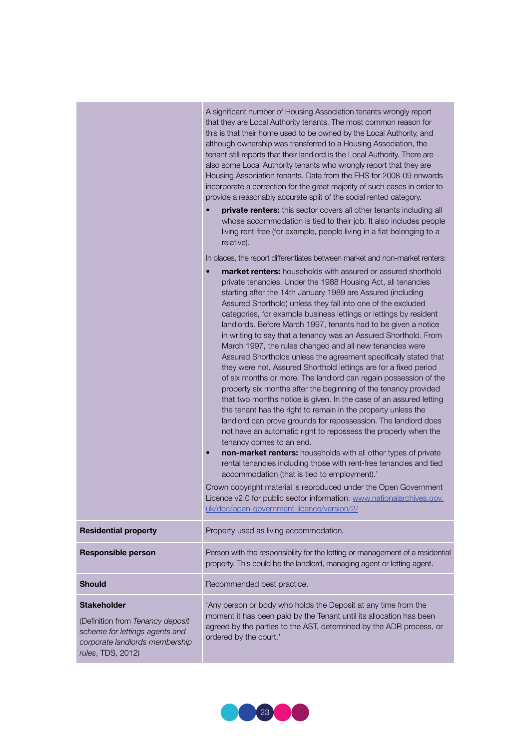|                                                                                                                                                 | A significant number of Housing Association tenants wrongly report<br>that they are Local Authority tenants. The most common reason for<br>this is that their home used to be owned by the Local Authority, and<br>although ownership was transferred to a Housing Association, the<br>tenant still reports that their landlord is the Local Authority. There are<br>also some Local Authority tenants who wrongly report that they are<br>Housing Association tenants. Data from the EHS for 2008-09 onwards<br>incorporate a correction for the great majority of such cases in order to<br>provide a reasonably accurate split of the social rented category.<br>private renters: this sector covers all other tenants including all<br>whose accommodation is tied to their job. It also includes people<br>living rent-free (for example, people living in a flat belonging to a<br>relative).                                                                                                                                                                                                                                                                                                                                                                                                                                                                                                                                                                                                                                                                                                   |
|-------------------------------------------------------------------------------------------------------------------------------------------------|-------------------------------------------------------------------------------------------------------------------------------------------------------------------------------------------------------------------------------------------------------------------------------------------------------------------------------------------------------------------------------------------------------------------------------------------------------------------------------------------------------------------------------------------------------------------------------------------------------------------------------------------------------------------------------------------------------------------------------------------------------------------------------------------------------------------------------------------------------------------------------------------------------------------------------------------------------------------------------------------------------------------------------------------------------------------------------------------------------------------------------------------------------------------------------------------------------------------------------------------------------------------------------------------------------------------------------------------------------------------------------------------------------------------------------------------------------------------------------------------------------------------------------------------------------------------------------------------------------|
|                                                                                                                                                 | In places, the report differentiates between market and non-market renters:<br>market renters: households with assured or assured shorthold<br>private tenancies. Under the 1988 Housing Act, all tenancies<br>starting after the 14th January 1989 are Assured (including<br>Assured Shorthold) unless they fall into one of the excluded<br>categories, for example business lettings or lettings by resident<br>landlords. Before March 1997, tenants had to be given a notice<br>in writing to say that a tenancy was an Assured Shorthold. From<br>March 1997, the rules changed and all new tenancies were<br>Assured Shortholds unless the agreement specifically stated that<br>they were not. Assured Shorthold lettings are for a fixed period<br>of six months or more. The landlord can regain possession of the<br>property six months after the beginning of the tenancy provided<br>that two months notice is given. In the case of an assured letting<br>the tenant has the right to remain in the property unless the<br>landlord can prove grounds for repossession. The landlord does<br>not have an automatic right to repossess the property when the<br>tenancy comes to an end.<br>non-market renters: households with all other types of private<br>$\bullet$<br>rental tenancies including those with rent-free tenancies and tied<br>accommodation (that is tied to employment).'<br>Crown copyright material is reproduced under the Open Government<br>Licence v2.0 for public sector information: www.nationalarchives.gov.<br>uk/doc/open-government-licence/version/2/ |
| <b>Residential property</b>                                                                                                                     | Property used as living accommodation.                                                                                                                                                                                                                                                                                                                                                                                                                                                                                                                                                                                                                                                                                                                                                                                                                                                                                                                                                                                                                                                                                                                                                                                                                                                                                                                                                                                                                                                                                                                                                                |
| <b>Responsible person</b>                                                                                                                       | Person with the responsibility for the letting or management of a residential<br>property. This could be the landlord, managing agent or letting agent.                                                                                                                                                                                                                                                                                                                                                                                                                                                                                                                                                                                                                                                                                                                                                                                                                                                                                                                                                                                                                                                                                                                                                                                                                                                                                                                                                                                                                                               |
| <b>Should</b>                                                                                                                                   | Recommended best practice.                                                                                                                                                                                                                                                                                                                                                                                                                                                                                                                                                                                                                                                                                                                                                                                                                                                                                                                                                                                                                                                                                                                                                                                                                                                                                                                                                                                                                                                                                                                                                                            |
| <b>Stakeholder</b><br>(Definition from Tenancy deposit<br>scheme for lettings agents and<br>corporate landlords membership<br>rules, TDS, 2012) | 'Any person or body who holds the Deposit at any time from the<br>moment it has been paid by the Tenant until its allocation has been<br>agreed by the parties to the AST, determined by the ADR process, or<br>ordered by the court.'                                                                                                                                                                                                                                                                                                                                                                                                                                                                                                                                                                                                                                                                                                                                                                                                                                                                                                                                                                                                                                                                                                                                                                                                                                                                                                                                                                |

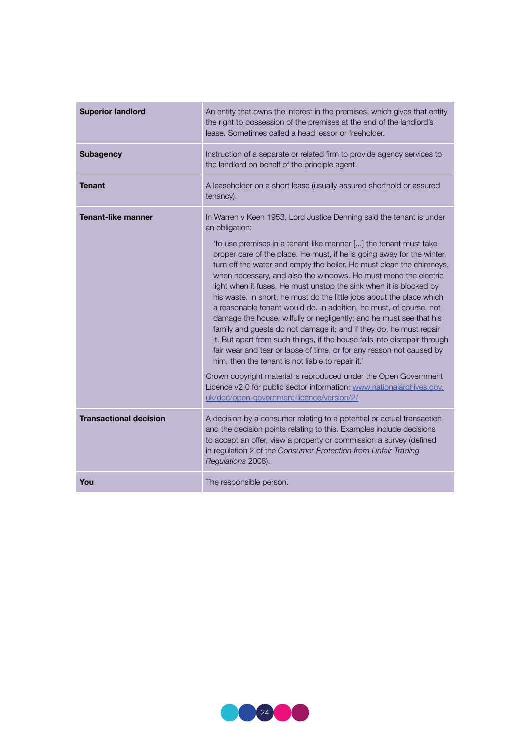| <b>Superior landlord</b>                                   | An entity that owns the interest in the premises, which gives that entity<br>the right to possession of the premises at the end of the landlord's<br>lease. Sometimes called a head lessor or freeholder.                                                                                                                                                                                                                                                                                                                                                                                                                                                                                                                                                                                                                                                                                                                                                                                                                                                                                                                                                                                                                                                                                               |
|------------------------------------------------------------|---------------------------------------------------------------------------------------------------------------------------------------------------------------------------------------------------------------------------------------------------------------------------------------------------------------------------------------------------------------------------------------------------------------------------------------------------------------------------------------------------------------------------------------------------------------------------------------------------------------------------------------------------------------------------------------------------------------------------------------------------------------------------------------------------------------------------------------------------------------------------------------------------------------------------------------------------------------------------------------------------------------------------------------------------------------------------------------------------------------------------------------------------------------------------------------------------------------------------------------------------------------------------------------------------------|
| <b>Subagency</b>                                           | Instruction of a separate or related firm to provide agency services to<br>the landlord on behalf of the principle agent.                                                                                                                                                                                                                                                                                                                                                                                                                                                                                                                                                                                                                                                                                                                                                                                                                                                                                                                                                                                                                                                                                                                                                                               |
| <b>Tenant</b>                                              | A leaseholder on a short lease (usually assured shorthold or assured<br>tenancy).                                                                                                                                                                                                                                                                                                                                                                                                                                                                                                                                                                                                                                                                                                                                                                                                                                                                                                                                                                                                                                                                                                                                                                                                                       |
| <b>Tenant-like manner</b><br><b>Transactional decision</b> | In Warren v Keen 1953, Lord Justice Denning said the tenant is under<br>an obligation:<br>'to use premises in a tenant-like manner [] the tenant must take<br>proper care of the place. He must, if he is going away for the winter,<br>turn off the water and empty the boiler. He must clean the chimneys,<br>when necessary, and also the windows. He must mend the electric<br>light when it fuses. He must unstop the sink when it is blocked by<br>his waste. In short, he must do the little jobs about the place which<br>a reasonable tenant would do. In addition, he must, of course, not<br>damage the house, wilfully or negligently; and he must see that his<br>family and guests do not damage it; and if they do, he must repair<br>it. But apart from such things, if the house falls into disrepair through<br>fair wear and tear or lapse of time, or for any reason not caused by<br>him, then the tenant is not liable to repair it.'<br>Crown copyright material is reproduced under the Open Government<br>Licence v2.0 for public sector information: www.nationalarchives.gov.<br>uk/doc/open-government-licence/version/2/<br>A decision by a consumer relating to a potential or actual transaction<br>and the decision points relating to this. Examples include decisions |
|                                                            | to accept an offer, view a property or commission a survey (defined<br>in regulation 2 of the Consumer Protection from Unfair Trading<br>Regulations 2008).                                                                                                                                                                                                                                                                                                                                                                                                                                                                                                                                                                                                                                                                                                                                                                                                                                                                                                                                                                                                                                                                                                                                             |
| You                                                        | The responsible person.                                                                                                                                                                                                                                                                                                                                                                                                                                                                                                                                                                                                                                                                                                                                                                                                                                                                                                                                                                                                                                                                                                                                                                                                                                                                                 |

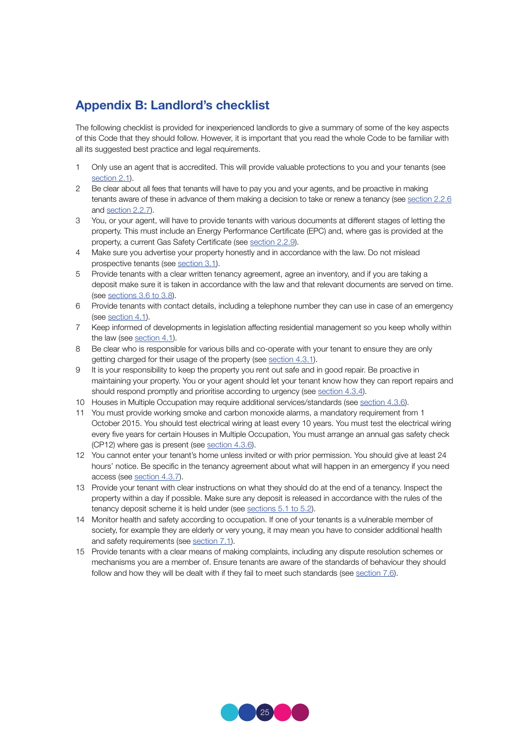## Appendix B: Landlord's checklist

The following checklist is provided for inexperienced landlords to give a summary of some of the key aspects of this Code that they should follow. However, it is important that you read the whole Code to be familiar with all its suggested best practice and legal requirements.

- 1 Only use an agent that is accredited. This will provide valuable protections to you and your tenants (see section 2.1)
- 2 Be clear about all fees that tenants will have to pay you and your agents, and be proactive in making tenants aware of these in advance of them making a decision to take or renew a tenancy (see section 2.2.6) and section 2.2.7).
- 3 You, or your agent, will have to provide tenants with various documents at different stages of letting the property. This must include an Energy Performance Certificate (EPC) and, where gas is provided at the property, a current Gas Safety Certificate (see section 2.2.9).
- 4 Make sure you advertise your property honestly and in accordance with the law. Do not mislead prospective tenants (see section 3.1).
- 5 Provide tenants with a clear written tenancy agreement, agree an inventory, and if you are taking a deposit make sure it is taken in accordance with the law and that relevant documents are served on time. (see sections 3.6 to 3.8).
- 6 Provide tenants with contact details, including a telephone number they can use in case of an emergency (see section 4.1).
- 7 Keep informed of developments in legislation affecting residential management so you keep wholly within the law (see section 4.1).
- 8 Be clear who is responsible for various bills and co-operate with your tenant to ensure they are only getting charged for their usage of the property (see section 4.3.1).
- 9 It is your responsibility to keep the property you rent out safe and in good repair. Be proactive in maintaining your property. You or your agent should let your tenant know how they can report repairs and should respond promptly and prioritise according to urgency (see section 4.3.4).
- 10 Houses in Multiple Occupation may require additional services/standards (see section 4.3.6).
- 11 You must provide working smoke and carbon monoxide alarms, a mandatory requirement from 1 October 2015. You should test electrical wiring at least every 10 years. You must test the electrical wiring every five years for certain Houses in Multiple Occupation, You must arrange an annual gas safety check (CP12) where gas is present (see section 4.3.6).
- 12 You cannot enter your tenant's home unless invited or with prior permission. You should give at least 24 hours' notice. Be specific in the tenancy agreement about what will happen in an emergency if you need access (see section 4.3.7).
- 13 Provide your tenant with clear instructions on what they should do at the end of a tenancy. Inspect the property within a day if possible. Make sure any deposit is released in accordance with the rules of the tenancy deposit scheme it is held under (see sections 5.1 to 5.2).
- 14 Monitor health and safety according to occupation. If one of your tenants is a vulnerable member of society, for example they are elderly or very young, it may mean you have to consider additional health and safety requirements (see section 7.1).
- 15 Provide tenants with a clear means of making complaints, including any dispute resolution schemes or mechanisms you are a member of. Ensure tenants are aware of the standards of behaviour they should follow and how they will be dealt with if they fail to meet such standards (see section 7.6).